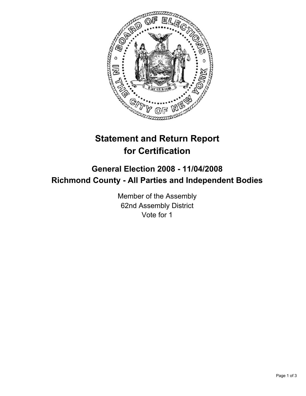

# **Statement and Return Report for Certification**

## **General Election 2008 - 11/04/2008 Richmond County - All Parties and Independent Bodies**

Member of the Assembly 62nd Assembly District Vote for 1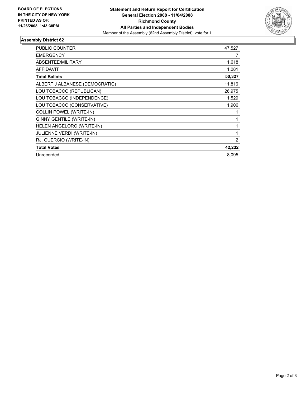

### **Assembly District 62**

| PUBLIC COUNTER                   | 47,527 |
|----------------------------------|--------|
| <b>EMERGENCY</b>                 |        |
| ABSENTEE/MILITARY                | 1,618  |
| AFFIDAVIT                        | 1,081  |
| <b>Total Ballots</b>             | 50,327 |
| ALBERT J ALBANESE (DEMOCRATIC)   | 11,816 |
| LOU TOBACCO (REPUBLICAN)         | 26,975 |
| LOU TOBACCO (INDEPENDENCE)       | 1,529  |
| LOU TOBACCO (CONSERVATIVE)       | 1,906  |
| <b>COLLIN POWEL (WRITE-IN)</b>   |        |
| <b>GINNY GENTILE (WRITE-IN)</b>  |        |
| HELEN ANGELORO (WRITE-IN)        |        |
| <b>JULIENNE VERDI (WRITE-IN)</b> |        |
| RJ. GUERCIO (WRITE-IN)           | 2      |
| <b>Total Votes</b>               | 42,232 |
| Unrecorded                       | 8.095  |